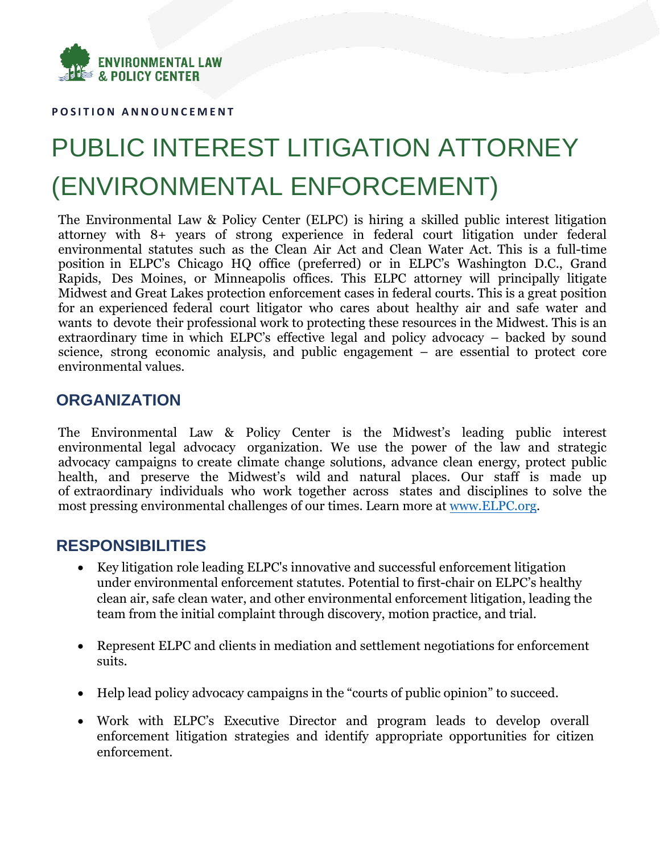

**P O S I T I O N A N N O U N C E M E N T**

# PUBLIC INTEREST LITIGATION ATTORNEY (ENVIRONMENTAL ENFORCEMENT)

The Environmental Law & Policy Center (ELPC) is hiring a skilled public interest litigation attorney with 8+ years of strong experience in federal court litigation under federal environmental statutes such as the Clean Air Act and Clean Water Act. This is a full-time position in ELPC's Chicago HQ office (preferred) or in ELPC's Washington D.C., Grand Rapids, Des Moines, or Minneapolis offices. This ELPC attorney will principally litigate Midwest and Great Lakes protection enforcement cases in federal courts. This is a great position for an experienced federal court litigator who cares about healthy air and safe water and wants to devote their professional work to protecting these resources in the Midwest. This is an extraordinary time in which ELPC's effective legal and policy advocacy – backed by sound science, strong economic analysis, and public engagement – are essential to protect core environmental values.

## **ORGANIZATION**

The Environmental Law & Policy Center is the Midwest's leading public interest environmental legal advocacy organization. We use the power of the law and strategic advocacy campaigns to create climate change solutions, advance clean energy, protect public health, and preserve the Midwest's wild and natural places. Our staff is made up of extraordinary individuals who work together across states and disciplines to solve the most pressing environmental challenges of our times. Learn more at [www.ELPC.org.](http://www.elpc.org/)

## **RESPONSIBILITIES**

- Key litigation role leading ELPC's innovative and successful enforcement litigation under environmental enforcement statutes. Potential to first-chair on ELPC's healthy clean air, safe clean water, and other environmental enforcement litigation, leading the team from the initial complaint through discovery, motion practice, and trial.
- Represent ELPC and clients in mediation and settlement negotiations for enforcement suits.
- Help lead policy advocacy campaigns in the "courts of public opinion" to succeed.
- Work with ELPC's Executive Director and program leads to develop overall enforcement litigation strategies and identify appropriate opportunities for citizen enforcement.